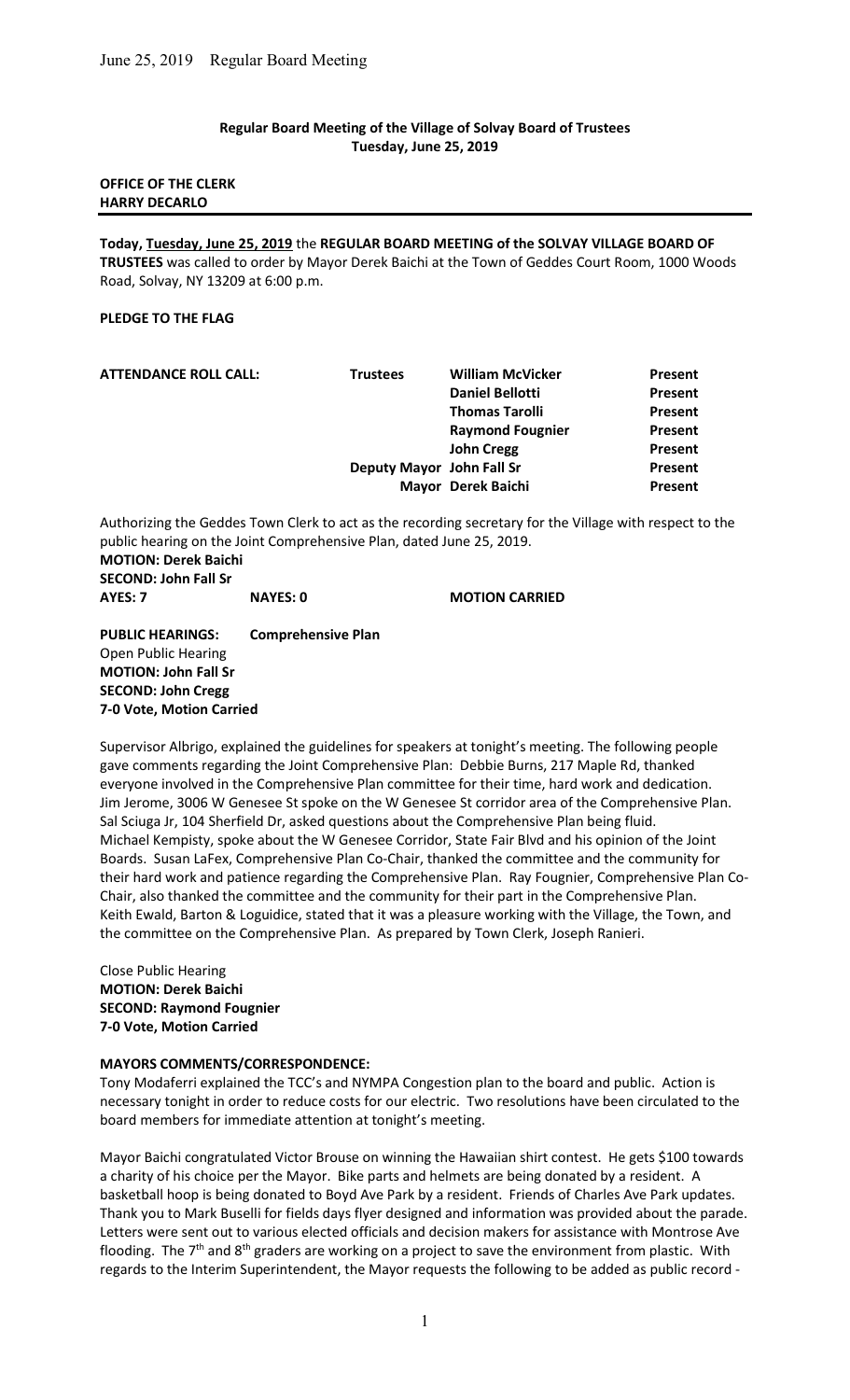### Regular Board Meeting of the Village of Solvay Board of Trustees Tuesday, June 25, 2019

### OFFICE OF THE CLERK HARRY DECARLO

Today, Tuesday, June 25, 2019 the REGULAR BOARD MEETING of the SOLVAY VILLAGE BOARD OF TRUSTEES was called to order by Mayor Derek Baichi at the Town of Geddes Court Room, 1000 Woods Road, Solvay, NY 13209 at 6:00 p.m.

### PLEDGE TO THE FLAG

| <b>ATTENDANCE ROLL CALL:</b> | <b>Trustees</b> | <b>William McVicker</b>   | Present        |
|------------------------------|-----------------|---------------------------|----------------|
|                              |                 | <b>Daniel Bellotti</b>    | <b>Present</b> |
|                              |                 | <b>Thomas Tarolli</b>     | Present        |
|                              |                 | <b>Raymond Fougnier</b>   | Present        |
|                              |                 | <b>John Cregg</b>         | Present        |
|                              |                 | Deputy Mayor John Fall Sr | Present        |
|                              |                 | Mayor Derek Baichi        | Present        |
|                              |                 |                           |                |

Authorizing the Geddes Town Clerk to act as the recording secretary for the Village with respect to the public hearing on the Joint Comprehensive Plan, dated June 25, 2019. MOTION: Derek Baichi SECOND: John Fall Sr

AYES: 7 NAYES: 0 MOTION CARRIED

PUBLIC HEARINGS: Comprehensive Plan Open Public Hearing MOTION: John Fall Sr SECOND: John Cregg 7-0 Vote, Motion Carried

Supervisor Albrigo, explained the guidelines for speakers at tonight's meeting. The following people gave comments regarding the Joint Comprehensive Plan: Debbie Burns, 217 Maple Rd, thanked everyone involved in the Comprehensive Plan committee for their time, hard work and dedication. Jim Jerome, 3006 W Genesee St spoke on the W Genesee St corridor area of the Comprehensive Plan. Sal Sciuga Jr, 104 Sherfield Dr, asked questions about the Comprehensive Plan being fluid. Michael Kempisty, spoke about the W Genesee Corridor, State Fair Blvd and his opinion of the Joint Boards. Susan LaFex, Comprehensive Plan Co-Chair, thanked the committee and the community for their hard work and patience regarding the Comprehensive Plan. Ray Fougnier, Comprehensive Plan Co-Chair, also thanked the committee and the community for their part in the Comprehensive Plan. Keith Ewald, Barton & Loguidice, stated that it was a pleasure working with the Village, the Town, and the committee on the Comprehensive Plan. As prepared by Town Clerk, Joseph Ranieri.

Close Public Hearing MOTION: Derek Baichi SECOND: Raymond Fougnier 7-0 Vote, Motion Carried

#### MAYORS COMMENTS/CORRESPONDENCE:

Tony Modaferri explained the TCC's and NYMPA Congestion plan to the board and public. Action is necessary tonight in order to reduce costs for our electric. Two resolutions have been circulated to the board members for immediate attention at tonight's meeting.

Mayor Baichi congratulated Victor Brouse on winning the Hawaiian shirt contest. He gets \$100 towards a charity of his choice per the Mayor. Bike parts and helmets are being donated by a resident. A basketball hoop is being donated to Boyd Ave Park by a resident. Friends of Charles Ave Park updates. Thank you to Mark Buselli for fields days flyer designed and information was provided about the parade. Letters were sent out to various elected officials and decision makers for assistance with Montrose Ave flooding. The  $7<sup>th</sup>$  and  $8<sup>th</sup>$  graders are working on a project to save the environment from plastic. With regards to the Interim Superintendent, the Mayor requests the following to be added as public record -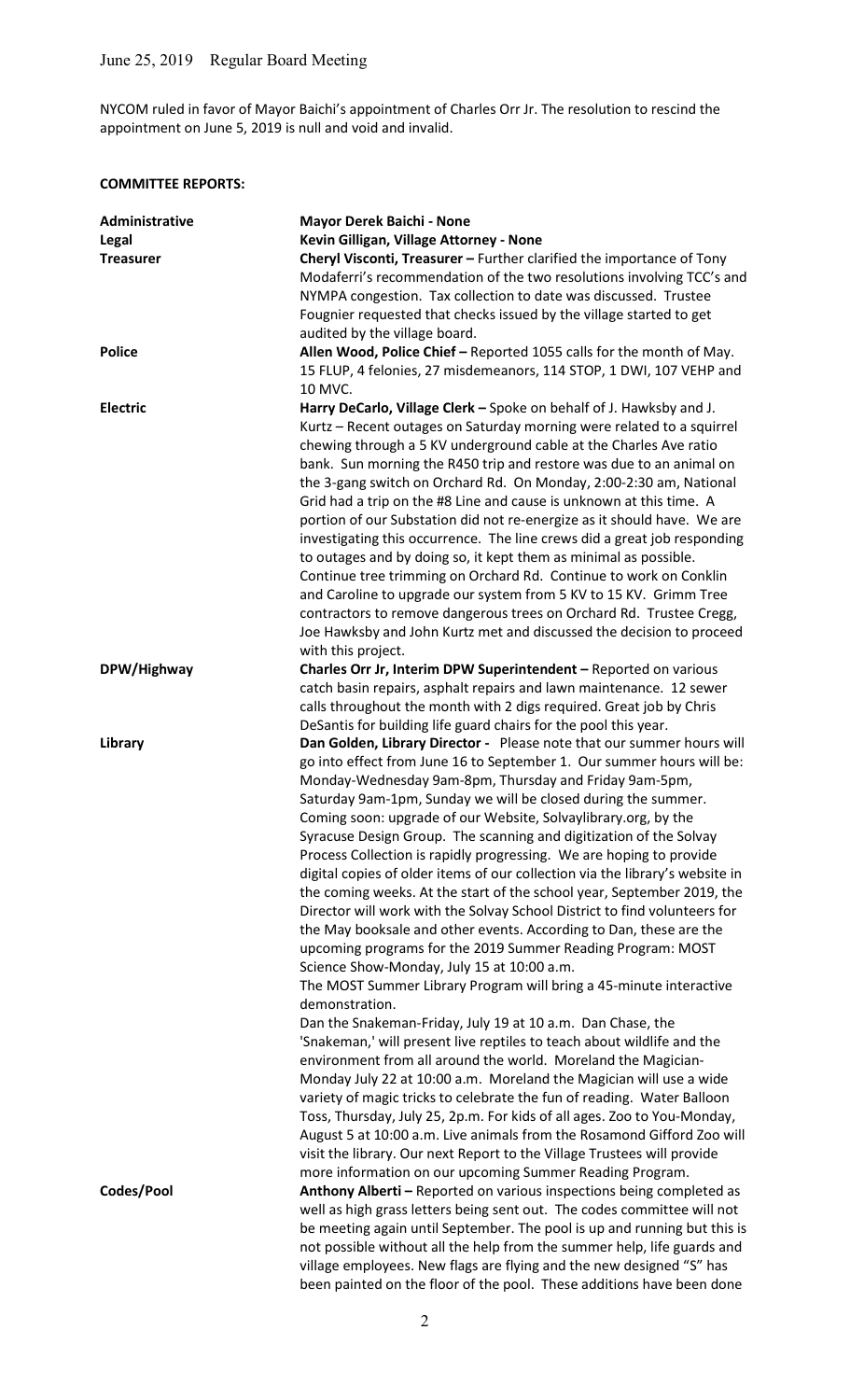NYCOM ruled in favor of Mayor Baichi's appointment of Charles Orr Jr. The resolution to rescind the appointment on June 5, 2019 is null and void and invalid.

# COMMITTEE REPORTS:

| Administrative<br>Legal<br><b>Treasurer</b> | <b>Mayor Derek Baichi - None</b><br>Kevin Gilligan, Village Attorney - None<br>Cheryl Visconti, Treasurer - Further clarified the importance of Tony                                                                                                                                                                                                                                                                                                                                                                                                                                                                                                                                                                                                                                                                                                                                                                                                                                                                                                                                                                                                                                                                                                                                                                                                                                                                                                                                                                                                                                                                                                            |
|---------------------------------------------|-----------------------------------------------------------------------------------------------------------------------------------------------------------------------------------------------------------------------------------------------------------------------------------------------------------------------------------------------------------------------------------------------------------------------------------------------------------------------------------------------------------------------------------------------------------------------------------------------------------------------------------------------------------------------------------------------------------------------------------------------------------------------------------------------------------------------------------------------------------------------------------------------------------------------------------------------------------------------------------------------------------------------------------------------------------------------------------------------------------------------------------------------------------------------------------------------------------------------------------------------------------------------------------------------------------------------------------------------------------------------------------------------------------------------------------------------------------------------------------------------------------------------------------------------------------------------------------------------------------------------------------------------------------------|
|                                             | Modaferri's recommendation of the two resolutions involving TCC's and<br>NYMPA congestion. Tax collection to date was discussed. Trustee<br>Fougnier requested that checks issued by the village started to get<br>audited by the village board.                                                                                                                                                                                                                                                                                                                                                                                                                                                                                                                                                                                                                                                                                                                                                                                                                                                                                                                                                                                                                                                                                                                                                                                                                                                                                                                                                                                                                |
| <b>Police</b>                               | Allen Wood, Police Chief - Reported 1055 calls for the month of May.<br>15 FLUP, 4 felonies, 27 misdemeanors, 114 STOP, 1 DWI, 107 VEHP and<br>10 MVC.                                                                                                                                                                                                                                                                                                                                                                                                                                                                                                                                                                                                                                                                                                                                                                                                                                                                                                                                                                                                                                                                                                                                                                                                                                                                                                                                                                                                                                                                                                          |
| <b>Electric</b>                             | Harry DeCarlo, Village Clerk - Spoke on behalf of J. Hawksby and J.<br>Kurtz - Recent outages on Saturday morning were related to a squirrel<br>chewing through a 5 KV underground cable at the Charles Ave ratio<br>bank. Sun morning the R450 trip and restore was due to an animal on<br>the 3-gang switch on Orchard Rd. On Monday, 2:00-2:30 am, National<br>Grid had a trip on the #8 Line and cause is unknown at this time. A<br>portion of our Substation did not re-energize as it should have. We are<br>investigating this occurrence. The line crews did a great job responding<br>to outages and by doing so, it kept them as minimal as possible.<br>Continue tree trimming on Orchard Rd. Continue to work on Conklin<br>and Caroline to upgrade our system from 5 KV to 15 KV. Grimm Tree<br>contractors to remove dangerous trees on Orchard Rd. Trustee Cregg,<br>Joe Hawksby and John Kurtz met and discussed the decision to proceed                                                                                                                                                                                                                                                                                                                                                                                                                                                                                                                                                                                                                                                                                                       |
|                                             | with this project.                                                                                                                                                                                                                                                                                                                                                                                                                                                                                                                                                                                                                                                                                                                                                                                                                                                                                                                                                                                                                                                                                                                                                                                                                                                                                                                                                                                                                                                                                                                                                                                                                                              |
| DPW/Highway                                 | Charles Orr Jr, Interim DPW Superintendent - Reported on various<br>catch basin repairs, asphalt repairs and lawn maintenance. 12 sewer<br>calls throughout the month with 2 digs required. Great job by Chris<br>DeSantis for building life guard chairs for the pool this year.                                                                                                                                                                                                                                                                                                                                                                                                                                                                                                                                                                                                                                                                                                                                                                                                                                                                                                                                                                                                                                                                                                                                                                                                                                                                                                                                                                               |
| Library                                     | Dan Golden, Library Director - Please note that our summer hours will<br>go into effect from June 16 to September 1. Our summer hours will be:<br>Monday-Wednesday 9am-8pm, Thursday and Friday 9am-5pm,<br>Saturday 9am-1pm, Sunday we will be closed during the summer.<br>Coming soon: upgrade of our Website, Solvaylibrary.org, by the<br>Syracuse Design Group. The scanning and digitization of the Solvay<br>Process Collection is rapidly progressing. We are hoping to provide<br>digital copies of older items of our collection via the library's website in<br>the coming weeks. At the start of the school year, September 2019, the<br>Director will work with the Solvay School District to find volunteers for<br>the May booksale and other events. According to Dan, these are the<br>upcoming programs for the 2019 Summer Reading Program: MOST<br>Science Show-Monday, July 15 at 10:00 a.m.<br>The MOST Summer Library Program will bring a 45-minute interactive<br>demonstration.<br>Dan the Snakeman-Friday, July 19 at 10 a.m. Dan Chase, the<br>'Snakeman,' will present live reptiles to teach about wildlife and the<br>environment from all around the world. Moreland the Magician-<br>Monday July 22 at 10:00 a.m. Moreland the Magician will use a wide<br>variety of magic tricks to celebrate the fun of reading. Water Balloon<br>Toss, Thursday, July 25, 2p.m. For kids of all ages. Zoo to You-Monday,<br>August 5 at 10:00 a.m. Live animals from the Rosamond Gifford Zoo will<br>visit the library. Our next Report to the Village Trustees will provide<br>more information on our upcoming Summer Reading Program. |
| Codes/Pool                                  | Anthony Alberti - Reported on various inspections being completed as<br>well as high grass letters being sent out. The codes committee will not<br>be meeting again until September. The pool is up and running but this is<br>not possible without all the help from the summer help, life guards and<br>village employees. New flags are flying and the new designed "S" has<br>been painted on the floor of the pool. These additions have been done                                                                                                                                                                                                                                                                                                                                                                                                                                                                                                                                                                                                                                                                                                                                                                                                                                                                                                                                                                                                                                                                                                                                                                                                         |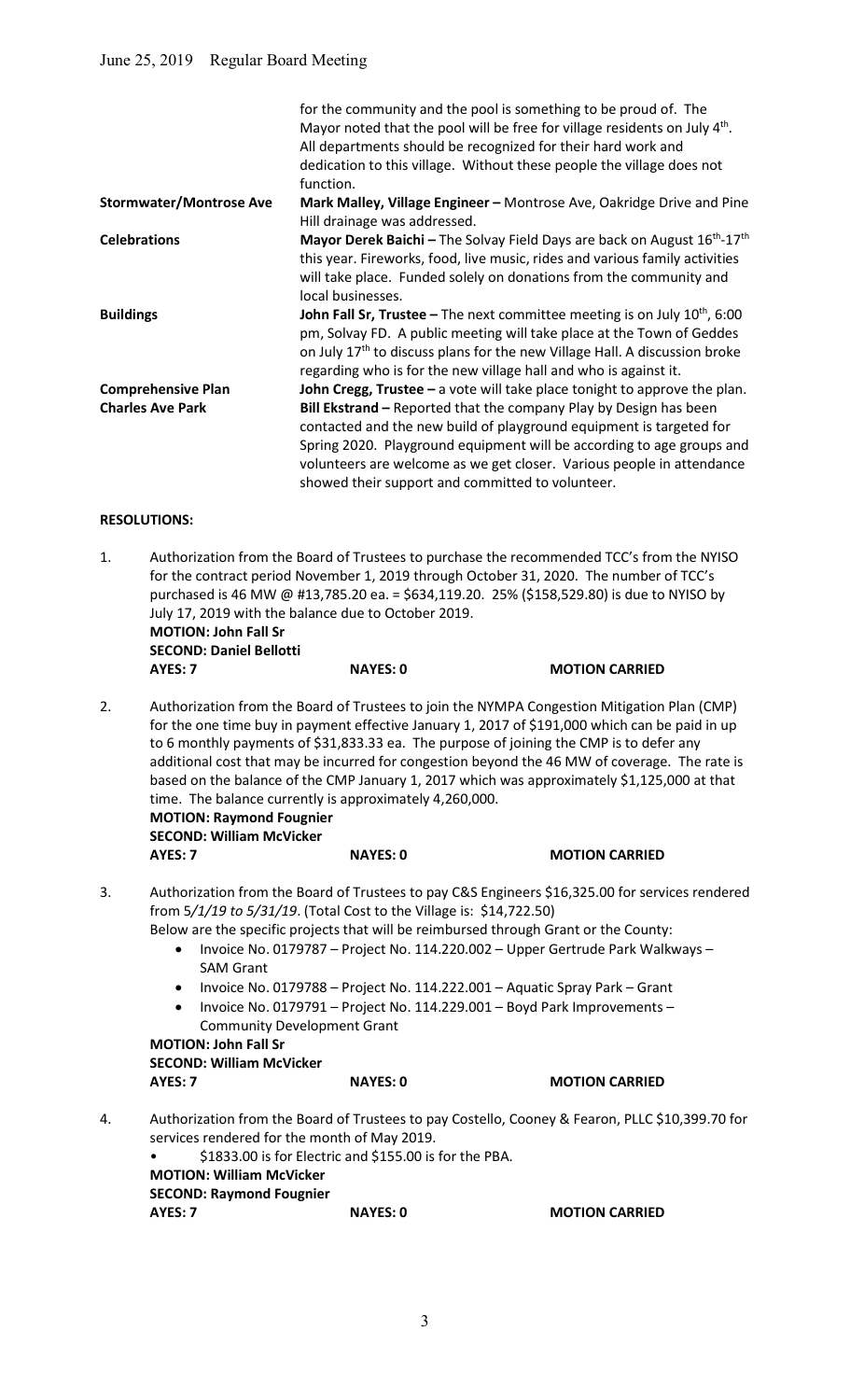|                                | for the community and the pool is something to be proud of. The<br>Mayor noted that the pool will be free for village residents on July 4 <sup>th</sup> .<br>All departments should be recognized for their hard work and<br>dedication to this village. Without these people the village does not                                             |
|--------------------------------|------------------------------------------------------------------------------------------------------------------------------------------------------------------------------------------------------------------------------------------------------------------------------------------------------------------------------------------------|
|                                | function.                                                                                                                                                                                                                                                                                                                                      |
| <b>Stormwater/Montrose Ave</b> | Mark Malley, Village Engineer - Montrose Ave, Oakridge Drive and Pine<br>Hill drainage was addressed.                                                                                                                                                                                                                                          |
| <b>Celebrations</b>            | <b>Mayor Derek Baichi</b> – The Solvay Field Days are back on August $16^{th}$ - $17^{th}$<br>this year. Fireworks, food, live music, rides and various family activities<br>will take place. Funded solely on donations from the community and<br>local businesses.                                                                           |
| <b>Buildings</b>               | <b>John Fall Sr, Trustee</b> – The next committee meeting is on July $10^{th}$ , 6:00<br>pm, Solvay FD. A public meeting will take place at the Town of Geddes<br>on July 17 <sup>th</sup> to discuss plans for the new Village Hall. A discussion broke<br>regarding who is for the new village hall and who is against it.                   |
| <b>Comprehensive Plan</b>      | John Cregg, Trustee $-$ a vote will take place tonight to approve the plan.                                                                                                                                                                                                                                                                    |
| <b>Charles Ave Park</b>        | Bill Ekstrand - Reported that the company Play by Design has been<br>contacted and the new build of playground equipment is targeted for<br>Spring 2020. Playground equipment will be according to age groups and<br>volunteers are welcome as we get closer. Various people in attendance<br>showed their support and committed to volunteer. |
| <b>RESOLUTIONS:</b>            |                                                                                                                                                                                                                                                                                                                                                |

- 1. Authorization from the Board of Trustees to purchase the recommended TCC's from the NYISO for the contract period November 1, 2019 through October 31, 2020. The number of TCC's purchased is 46 MW @ #13,785.20 ea. = \$634,119.20. 25% (\$158,529.80) is due to NYISO by July 17, 2019 with the balance due to October 2019. MOTION: John Fall Sr SECOND: Daniel Bellotti AYES: 7 NAYES: 0 MOTION CARRIED
- 2. Authorization from the Board of Trustees to join the NYMPA Congestion Mitigation Plan (CMP) for the one time buy in payment effective January 1, 2017 of \$191,000 which can be paid in up to 6 monthly payments of \$31,833.33 ea. The purpose of joining the CMP is to defer any additional cost that may be incurred for congestion beyond the 46 MW of coverage. The rate is based on the balance of the CMP January 1, 2017 which was approximately \$1,125,000 at that time. The balance currently is approximately 4,260,000. MOTION: Raymond Fougnier

| <b>SECOND: William McVicker</b> |                 |                       |
|---------------------------------|-----------------|-----------------------|
| AYES: 7                         | <b>NAYES: 0</b> | <b>MOTION CARRIED</b> |

- 3. Authorization from the Board of Trustees to pay C&S Engineers \$16,325.00 for services rendered from 5/1/19 to 5/31/19. (Total Cost to the Village is: \$14,722.50)
	- Below are the specific projects that will be reimbursed through Grant or the County:
		- Invoice No. 0179787 Project No. 114.220.002 Upper Gertrude Park Walkways SAM Grant
		- Invoice No. 0179788 Project No. 114.222.001 Aquatic Spray Park Grant
		- Invoice No. 0179791 Project No. 114.229.001 Boyd Park Improvements Community Development Grant

## MOTION: John Fall Sr

 SECOND: William McVicker AYES: 7 NAYES: 0 MOTION CARRIED

4. Authorization from the Board of Trustees to pay Costello, Cooney & Fearon, PLLC \$10,399.70 for services rendered for the month of May 2019.

|                                 | \$1833.00 is for Electric and \$155.00 is for the PBA. |
|---------------------------------|--------------------------------------------------------|
| <b>MOTION: William McVicker</b> |                                                        |
| <b>SECOND: Raymond Fougnier</b> |                                                        |
| AYES: 7                         | <b>NAYES: 0</b>                                        |
|                                 |                                                        |

**MOTION CARRIED**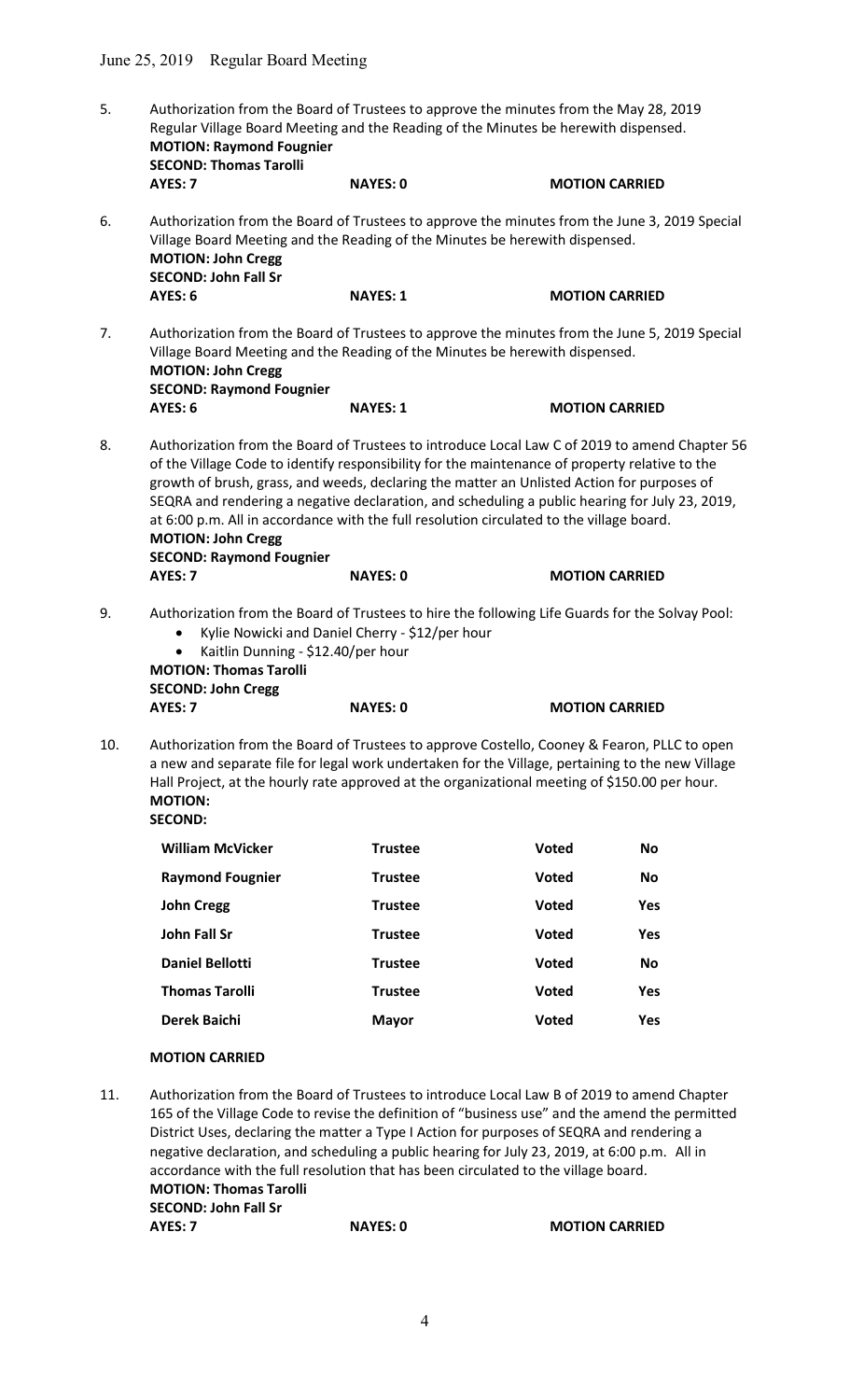| 5.                                                                                                                                                                                                                                                                                                                                                                                                                                                                                                                                                                | <b>SECOND: Thomas Tarolli</b>                                                                                                                                                                                                                                                                                                        | Authorization from the Board of Trustees to approve the minutes from the May 28, 2019<br>Regular Village Board Meeting and the Reading of the Minutes be herewith dispensed.<br><b>MOTION: Raymond Fougnier</b> |                       |            |  |
|-------------------------------------------------------------------------------------------------------------------------------------------------------------------------------------------------------------------------------------------------------------------------------------------------------------------------------------------------------------------------------------------------------------------------------------------------------------------------------------------------------------------------------------------------------------------|--------------------------------------------------------------------------------------------------------------------------------------------------------------------------------------------------------------------------------------------------------------------------------------------------------------------------------------|-----------------------------------------------------------------------------------------------------------------------------------------------------------------------------------------------------------------|-----------------------|------------|--|
|                                                                                                                                                                                                                                                                                                                                                                                                                                                                                                                                                                   | AYES: 7                                                                                                                                                                                                                                                                                                                              | <b>NAYES: 0</b>                                                                                                                                                                                                 | <b>MOTION CARRIED</b> |            |  |
| Authorization from the Board of Trustees to approve the minutes from the June 3, 2019 Special<br>6.<br>Village Board Meeting and the Reading of the Minutes be herewith dispensed.<br><b>MOTION: John Cregg</b><br><b>SECOND: John Fall Sr</b>                                                                                                                                                                                                                                                                                                                    |                                                                                                                                                                                                                                                                                                                                      |                                                                                                                                                                                                                 |                       |            |  |
|                                                                                                                                                                                                                                                                                                                                                                                                                                                                                                                                                                   | <b>AYES: 6</b>                                                                                                                                                                                                                                                                                                                       | <b>NAYES: 1</b>                                                                                                                                                                                                 | <b>MOTION CARRIED</b> |            |  |
| 7.                                                                                                                                                                                                                                                                                                                                                                                                                                                                                                                                                                | Authorization from the Board of Trustees to approve the minutes from the June 5, 2019 Special<br>Village Board Meeting and the Reading of the Minutes be herewith dispensed.<br><b>MOTION: John Cregg</b><br><b>SECOND: Raymond Fougnier</b>                                                                                         |                                                                                                                                                                                                                 |                       |            |  |
|                                                                                                                                                                                                                                                                                                                                                                                                                                                                                                                                                                   | AYES: 6                                                                                                                                                                                                                                                                                                                              | <b>NAYES: 1</b>                                                                                                                                                                                                 | <b>MOTION CARRIED</b> |            |  |
| 8.<br>Authorization from the Board of Trustees to introduce Local Law C of 2019 to amend Chapter 56<br>of the Village Code to identify responsibility for the maintenance of property relative to the<br>growth of brush, grass, and weeds, declaring the matter an Unlisted Action for purposes of<br>SEQRA and rendering a negative declaration, and scheduling a public hearing for July 23, 2019,<br>at 6:00 p.m. All in accordance with the full resolution circulated to the village board.<br><b>MOTION: John Cregg</b><br><b>SECOND: Raymond Fougnier</b> |                                                                                                                                                                                                                                                                                                                                      |                                                                                                                                                                                                                 |                       |            |  |
|                                                                                                                                                                                                                                                                                                                                                                                                                                                                                                                                                                   | AYES: 7                                                                                                                                                                                                                                                                                                                              | <b>NAYES: 0</b>                                                                                                                                                                                                 | <b>MOTION CARRIED</b> |            |  |
| 9.                                                                                                                                                                                                                                                                                                                                                                                                                                                                                                                                                                | Authorization from the Board of Trustees to hire the following Life Guards for the Solvay Pool:<br>Kylie Nowicki and Daniel Cherry - \$12/per hour<br>$\bullet$<br>Kaitlin Dunning - \$12.40/per hour<br>$\bullet$<br><b>MOTION: Thomas Tarolli</b><br><b>SECOND: John Cregg</b>                                                     |                                                                                                                                                                                                                 |                       |            |  |
|                                                                                                                                                                                                                                                                                                                                                                                                                                                                                                                                                                   | AYES: 7                                                                                                                                                                                                                                                                                                                              | <b>NAYES: 0</b>                                                                                                                                                                                                 | <b>MOTION CARRIED</b> |            |  |
| 10.                                                                                                                                                                                                                                                                                                                                                                                                                                                                                                                                                               | Authorization from the Board of Trustees to approve Costello, Cooney & Fearon, PLLC to open<br>a new and separate file for legal work undertaken for the Village, pertaining to the new Village<br>Hall Project, at the hourly rate approved at the organizational meeting of \$150.00 per hour.<br><b>MOTION:</b><br><b>SECOND:</b> |                                                                                                                                                                                                                 |                       |            |  |
|                                                                                                                                                                                                                                                                                                                                                                                                                                                                                                                                                                   | <b>William McVicker</b>                                                                                                                                                                                                                                                                                                              | <b>Trustee</b>                                                                                                                                                                                                  | Voted                 | No         |  |
|                                                                                                                                                                                                                                                                                                                                                                                                                                                                                                                                                                   | <b>Raymond Fougnier</b>                                                                                                                                                                                                                                                                                                              | <b>Trustee</b>                                                                                                                                                                                                  | <b>Voted</b>          | No         |  |
|                                                                                                                                                                                                                                                                                                                                                                                                                                                                                                                                                                   | <b>John Cregg</b>                                                                                                                                                                                                                                                                                                                    | <b>Trustee</b>                                                                                                                                                                                                  | <b>Voted</b>          | <b>Yes</b> |  |
|                                                                                                                                                                                                                                                                                                                                                                                                                                                                                                                                                                   | John Fall Sr                                                                                                                                                                                                                                                                                                                         | <b>Trustee</b>                                                                                                                                                                                                  | <b>Voted</b>          | <b>Yes</b> |  |
|                                                                                                                                                                                                                                                                                                                                                                                                                                                                                                                                                                   | <b>Daniel Bellotti</b>                                                                                                                                                                                                                                                                                                               | <b>Trustee</b>                                                                                                                                                                                                  | <b>Voted</b>          | <b>No</b>  |  |
|                                                                                                                                                                                                                                                                                                                                                                                                                                                                                                                                                                   | <b>Thomas Tarolli</b>                                                                                                                                                                                                                                                                                                                | <b>Trustee</b>                                                                                                                                                                                                  | <b>Voted</b>          | <b>Yes</b> |  |
|                                                                                                                                                                                                                                                                                                                                                                                                                                                                                                                                                                   | <b>Derek Baichi</b>                                                                                                                                                                                                                                                                                                                  | <b>Mayor</b>                                                                                                                                                                                                    | Voted                 | Yes        |  |

## MOTION CARRIED

11. Authorization from the Board of Trustees to introduce Local Law B of 2019 to amend Chapter 165 of the Village Code to revise the definition of "business use" and the amend the permitted District Uses, declaring the matter a Type I Action for purposes of SEQRA and rendering a negative declaration, and scheduling a public hearing for July 23, 2019, at 6:00 p.m. All in accordance with the full resolution that has been circulated to the village board. MOTION: Thomas Tarolli SECOND: John Fall Sr AYES: 7 NAYES: 0 MOTION CARRIED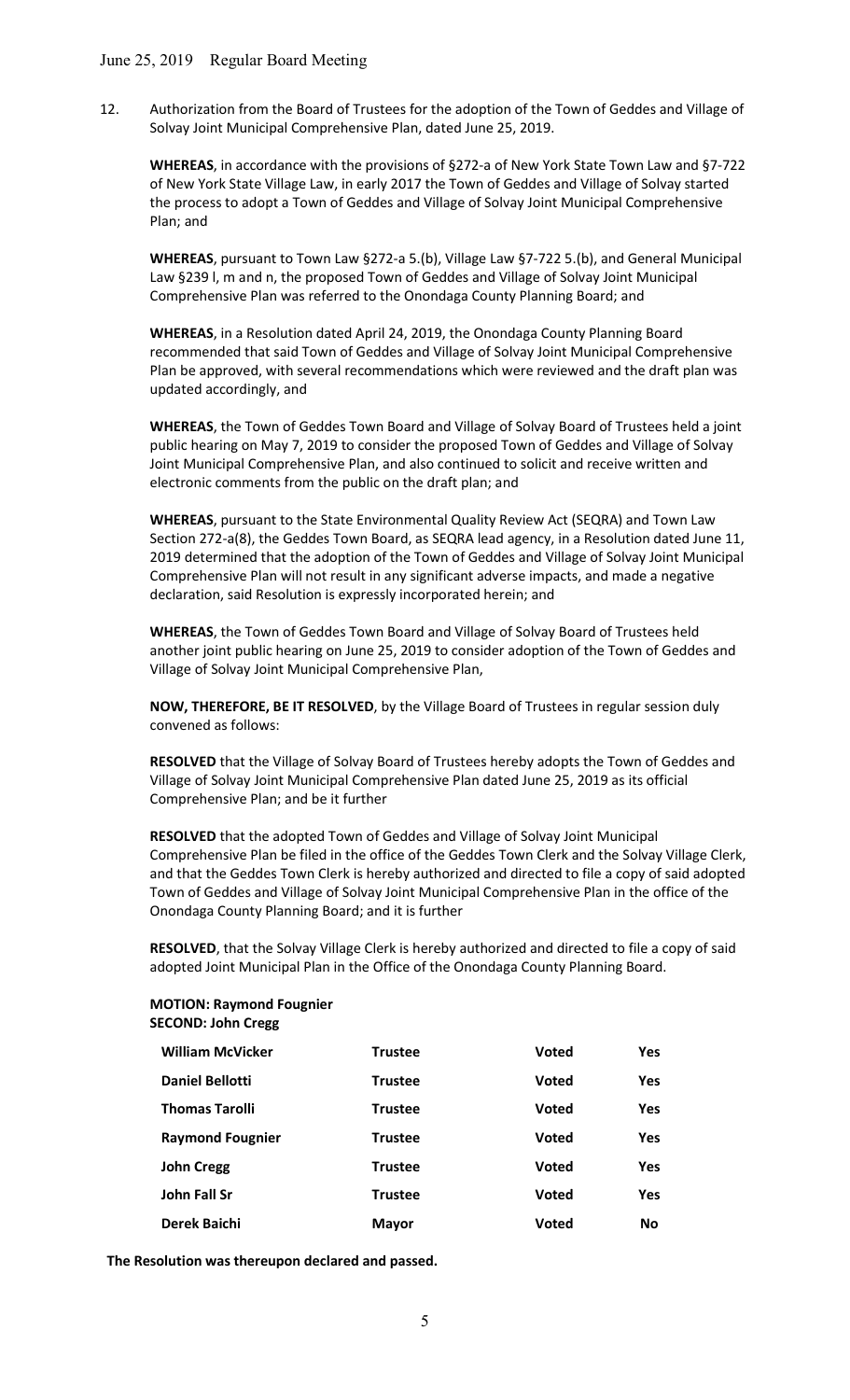### June 25, 2019 Regular Board Meeting

12. Authorization from the Board of Trustees for the adoption of the Town of Geddes and Village of Solvay Joint Municipal Comprehensive Plan, dated June 25, 2019.

WHEREAS, in accordance with the provisions of §272-a of New York State Town Law and §7-722 of New York State Village Law, in early 2017 the Town of Geddes and Village of Solvay started the process to adopt a Town of Geddes and Village of Solvay Joint Municipal Comprehensive Plan; and

 WHEREAS, pursuant to Town Law §272-a 5.(b), Village Law §7-722 5.(b), and General Municipal Law §239 l, m and n, the proposed Town of Geddes and Village of Solvay Joint Municipal Comprehensive Plan was referred to the Onondaga County Planning Board; and

 WHEREAS, in a Resolution dated April 24, 2019, the Onondaga County Planning Board recommended that said Town of Geddes and Village of Solvay Joint Municipal Comprehensive Plan be approved, with several recommendations which were reviewed and the draft plan was updated accordingly, and

 WHEREAS, the Town of Geddes Town Board and Village of Solvay Board of Trustees held a joint public hearing on May 7, 2019 to consider the proposed Town of Geddes and Village of Solvay Joint Municipal Comprehensive Plan, and also continued to solicit and receive written and electronic comments from the public on the draft plan; and

 WHEREAS, pursuant to the State Environmental Quality Review Act (SEQRA) and Town Law Section 272-a(8), the Geddes Town Board, as SEQRA lead agency, in a Resolution dated June 11, 2019 determined that the adoption of the Town of Geddes and Village of Solvay Joint Municipal Comprehensive Plan will not result in any significant adverse impacts, and made a negative declaration, said Resolution is expressly incorporated herein; and

 WHEREAS, the Town of Geddes Town Board and Village of Solvay Board of Trustees held another joint public hearing on June 25, 2019 to consider adoption of the Town of Geddes and Village of Solvay Joint Municipal Comprehensive Plan,

NOW, THEREFORE, BE IT RESOLVED, by the Village Board of Trustees in regular session duly convened as follows:

RESOLVED that the Village of Solvay Board of Trustees hereby adopts the Town of Geddes and Village of Solvay Joint Municipal Comprehensive Plan dated June 25, 2019 as its official Comprehensive Plan; and be it further

RESOLVED that the adopted Town of Geddes and Village of Solvay Joint Municipal Comprehensive Plan be filed in the office of the Geddes Town Clerk and the Solvay Village Clerk, and that the Geddes Town Clerk is hereby authorized and directed to file a copy of said adopted Town of Geddes and Village of Solvay Joint Municipal Comprehensive Plan in the office of the Onondaga County Planning Board; and it is further

RESOLVED, that the Solvay Village Clerk is hereby authorized and directed to file a copy of said adopted Joint Municipal Plan in the Office of the Onondaga County Planning Board.

### MOTION: Raymond Fougnier SECOND: John Cregg

| <b>William McVicker</b> | <b>Trustee</b> | Voted        | Yes        |
|-------------------------|----------------|--------------|------------|
| <b>Daniel Bellotti</b>  | <b>Trustee</b> | Voted        | Yes        |
| <b>Thomas Tarolli</b>   | <b>Trustee</b> | Voted        | <b>Yes</b> |
| <b>Raymond Fougnier</b> | <b>Trustee</b> | Voted        | Yes        |
| <b>John Cregg</b>       | <b>Trustee</b> | Voted        | Yes        |
| <b>John Fall Sr</b>     | <b>Trustee</b> | <b>Voted</b> | Yes        |
| Derek Baichi            | <b>Mayor</b>   | Voted        | <b>No</b>  |

The Resolution was thereupon declared and passed.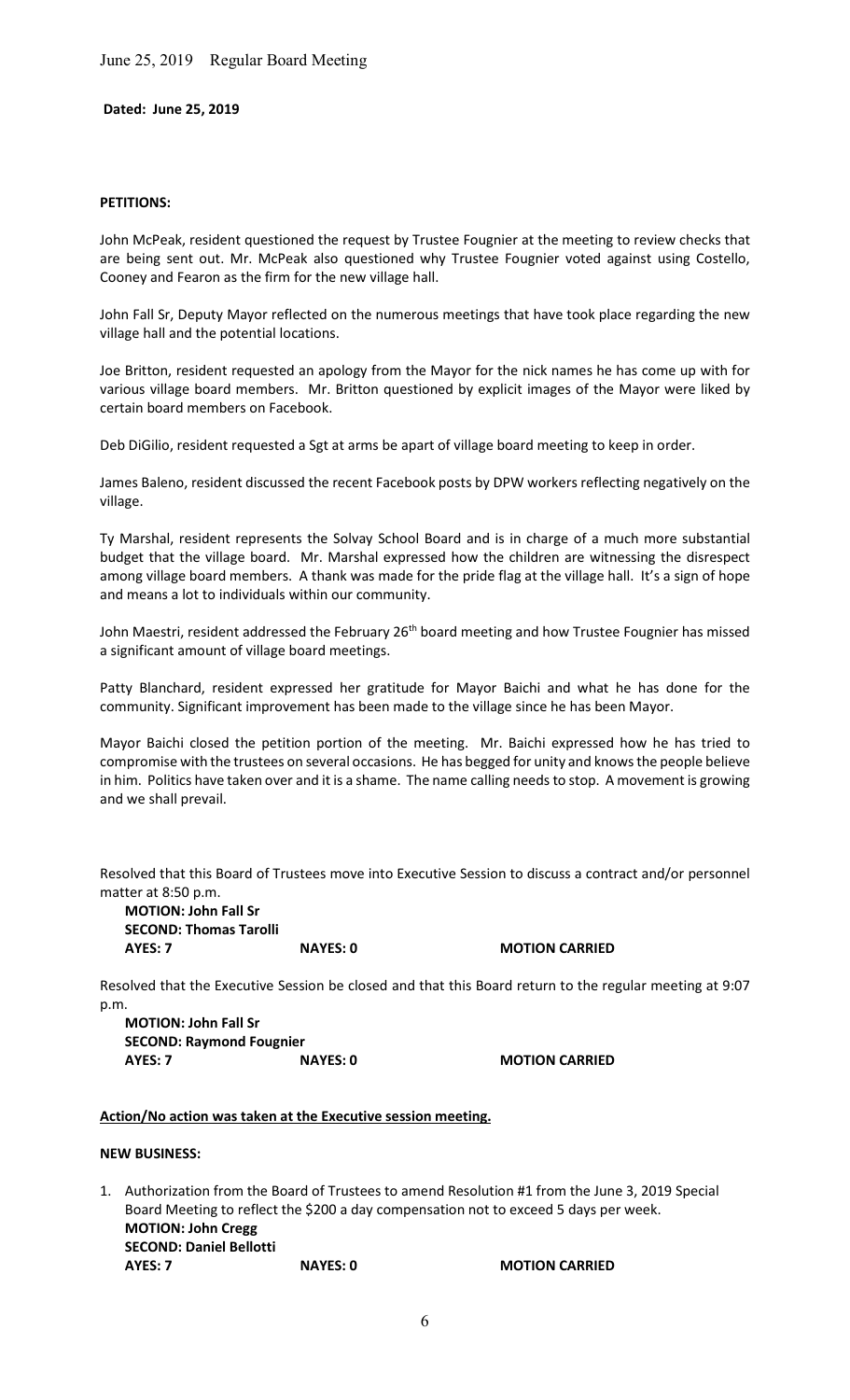June 25, 2019 Regular Board Meeting

Dated: June 25, 2019

#### PETITIONS:

John McPeak, resident questioned the request by Trustee Fougnier at the meeting to review checks that are being sent out. Mr. McPeak also questioned why Trustee Fougnier voted against using Costello, Cooney and Fearon as the firm for the new village hall.

John Fall Sr, Deputy Mayor reflected on the numerous meetings that have took place regarding the new village hall and the potential locations.

Joe Britton, resident requested an apology from the Mayor for the nick names he has come up with for various village board members. Mr. Britton questioned by explicit images of the Mayor were liked by certain board members on Facebook.

Deb DiGilio, resident requested a Sgt at arms be apart of village board meeting to keep in order.

James Baleno, resident discussed the recent Facebook posts by DPW workers reflecting negatively on the village.

Ty Marshal, resident represents the Solvay School Board and is in charge of a much more substantial budget that the village board. Mr. Marshal expressed how the children are witnessing the disrespect among village board members. A thank was made for the pride flag at the village hall. It's a sign of hope and means a lot to individuals within our community.

John Maestri, resident addressed the February 26<sup>th</sup> board meeting and how Trustee Fougnier has missed a significant amount of village board meetings.

Patty Blanchard, resident expressed her gratitude for Mayor Baichi and what he has done for the community. Significant improvement has been made to the village since he has been Mayor.

Mayor Baichi closed the petition portion of the meeting. Mr. Baichi expressed how he has tried to compromise with the trustees on several occasions. He has begged for unity and knows the people believe in him. Politics have taken over and it is a shame. The name calling needs to stop. A movement is growing and we shall prevail.

Resolved that this Board of Trustees move into Executive Session to discuss a contract and/or personnel matter at 8:50 p.m.

MOTION: John Fall Sr SECOND: Thomas Tarolli AYES: 7 NAYES: 0 MOTION CARRIED

Resolved that the Executive Session be closed and that this Board return to the regular meeting at 9:07 p.m.

MOTION: John Fall Sr SECOND: Raymond Fougnier AYES: 7 NAYES: 0 MOTION CARRIED

### Action/No action was taken at the Executive session meeting.

NEW BUSINESS:

1. Authorization from the Board of Trustees to amend Resolution #1 from the June 3, 2019 Special Board Meeting to reflect the \$200 a day compensation not to exceed 5 days per week. MOTION: John Cregg SECOND: Daniel Bellotti AYES: 7 NAYES: 0 MOTION CARRIED